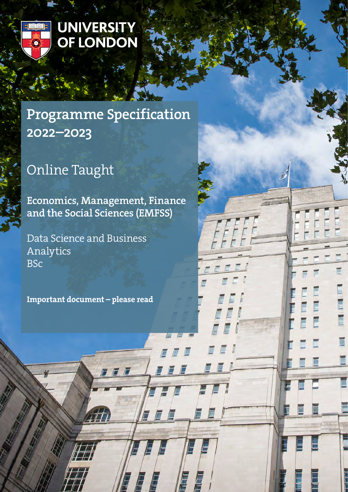

# **UNIVERSITY** OF LONDON

# Programme Specification 2022–2023

# Online Taught

Economics, Management, Finance and the Social Sciences (EMFSS)

 $\overline{a}$ 

E

É

Data Science and Business Analytics **BSc** 

Important document – please read

7 F F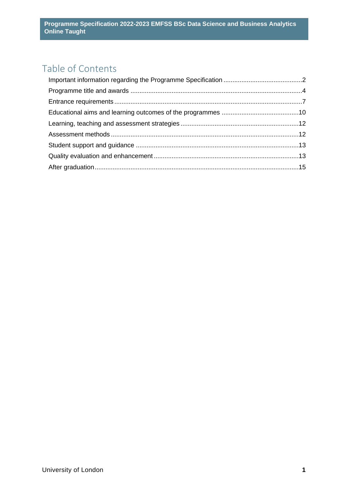# Table of Contents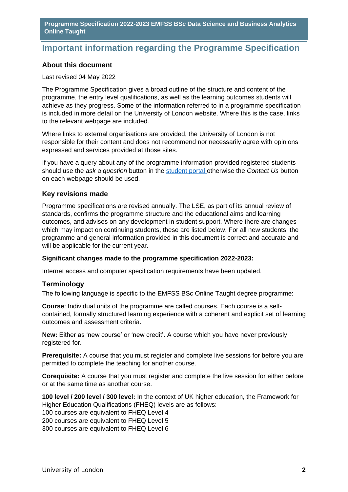## <span id="page-2-0"></span>**Important information regarding the Programme Specification**

## **About this document**

#### Last revised 04 May 2022

The Programme Specification gives a broad outline of the structure and content of the programme, the entry level qualifications, as well as the learning outcomes students will achieve as they progress. Some of the information referred to in a programme specification is included in more detail on the University of London website. Where this is the case, links to the relevant webpage are included.

Where links to external organisations are provided, the University of London is not responsible for their content and does not recommend nor necessarily agree with opinions expressed and services provided at those sites.

If you have a query about any of the programme information provided registered students should use the *ask a question* button in the [student portal o](https://my.london.ac.uk/)therwise the *Contact Us* button on each webpage should be used.

## **Key revisions made**

Programme specifications are revised annually. The LSE, as part of its annual review of standards, confirms the programme structure and the educational aims and learning outcomes, and advises on any development in student support. Where there are changes which may impact on continuing students, these are listed below. For all new students, the programme and general information provided in this document is correct and accurate and will be applicable for the current year.

#### **Significant changes made to the programme specification 2022-2023:**

Internet access and computer specification requirements have been updated.

## **Terminology**

The following language is specific to the EMFSS BSc Online Taught degree programme:

**Course**: Individual units of the programme are called courses. Each course is a selfcontained, formally structured learning experience with a coherent and explicit set of learning outcomes and assessment criteria.

**New:** Either as 'new course' or 'new credit'**.** A course which you have never previously registered for.

**Prerequisite:** A course that you must register and complete live sessions for before you are permitted to complete the teaching for another course.

**Corequisite:** A course that you must register and complete the live session for either before or at the same time as another course.

**100 level / 200 level / 300 level:** In the context of UK higher education, the Framework for Higher Education Qualifications (FHEQ) levels are as follows: 100 courses are equivalent to FHEQ Level 4 200 courses are equivalent to FHEQ Level 5 300 courses are equivalent to FHEQ Level 6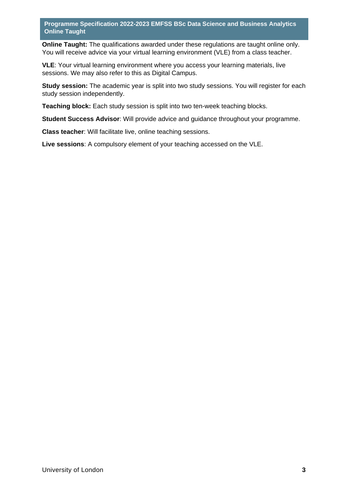**Online Taught:** The qualifications awarded under these regulations are taught online only. You will receive advice via your virtual learning environment (VLE) from a class teacher.

**VLE**: Your virtual learning environment where you access your learning materials, live sessions. We may also refer to this as Digital Campus.

**Study session:** The academic year is split into two study sessions. You will register for each study session independently.

**Teaching block:** Each study session is split into two ten-week teaching blocks.

**Student Success Advisor**: Will provide advice and guidance throughout your programme.

**Class teacher**: Will facilitate live, online teaching sessions.

**Live sessions**: A compulsory element of your teaching accessed on the VLE.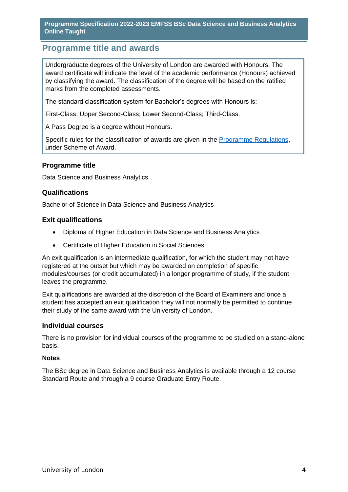# <span id="page-4-0"></span>**Programme title and awards**

Undergraduate degrees of the University of London are awarded with Honours. The award certificate will indicate the level of the academic performance (Honours) achieved by classifying the award. The classification of the degree will be based on the ratified marks from the completed assessments.

The standard classification system for Bachelor's degrees with Honours is:

First-Class; Upper Second-Class; Lower Second-Class; Third-Class.

A Pass Degree is a degree without Honours.

Specific rules for the classification of awards are given in the [Programme Regulations,](https://london.ac.uk/current-students/programme-documents/regulations) under Scheme of Award.

#### **Programme title**

Data Science and Business Analytics

#### **Qualifications**

Bachelor of Science in Data Science and Business Analytics

#### **Exit qualifications**

- Diploma of Higher Education in Data Science and Business Analytics
- Certificate of Higher Education in Social Sciences

An exit qualification is an intermediate qualification, for which the student may not have registered at the outset but which may be awarded on completion of specific modules/courses (or credit accumulated) in a longer programme of study, if the student leaves the programme.

Exit qualifications are awarded at the discretion of the Board of Examiners and once a student has accepted an exit qualification they will not normally be permitted to continue their study of the same award with the University of London.

#### **Individual courses**

There is no provision for individual courses of the programme to be studied on a stand-alone basis.

#### **Notes**

The BSc degree in Data Science and Business Analytics is available through a 12 course Standard Route and through a 9 course Graduate Entry Route.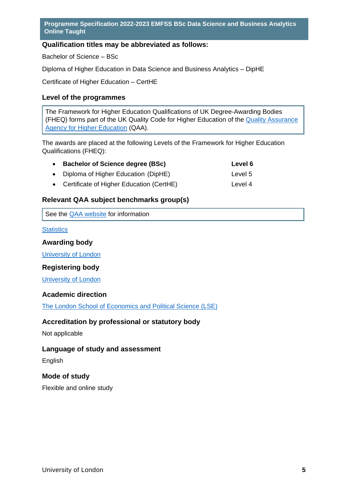## **Qualification titles may be abbreviated as follows:**

Bachelor of Science – BSc

Diploma of Higher Education in Data Science and Business Analytics – DipHE

Certificate of Higher Education – CertHE

## **Level of the programmes**

The Framework for Higher Education Qualifications of UK Degree-Awarding Bodies (FHEQ) forms part of the UK Quality Code for Higher Education of the [Quality Assurance](http://www.qaa.ac.uk/en)  [Agency for Higher Education](http://www.qaa.ac.uk/en) (QAA).

The awards are placed at the following Levels of the Framework for Higher Education Qualifications (FHEQ):

| <b>Bachelor of Science degree (BSc)</b> | Level 6 |
|-----------------------------------------|---------|
| • Diploma of Higher Education (DipHE)   | Level 5 |

• Certificate of Higher Education (CertHE) Level 4

## **Relevant QAA subject benchmarks group(s)**

|  | See the QAA website for information |
|--|-------------------------------------|
|--|-------------------------------------|

## **[Statistics](http://www.qaa.ac.uk/docs/qaa/subject-benchmark-statements/sbs-mathematics-15.pdf?sfvrsn=6399f781_10)**

## **Awarding body**

[University of London](http://www.london.ac.uk/)

## **Registering body**

[University of London](http://www.london.ac.uk/)

## **Academic direction**

[The London School of Economics and Political Science \(LSE\)](http://www.lse.ac.uk/home.aspx) 

## **Accreditation by professional or statutory body**

Not applicable

## **Language of study and assessment**

English

## **Mode of study**

Flexible and online study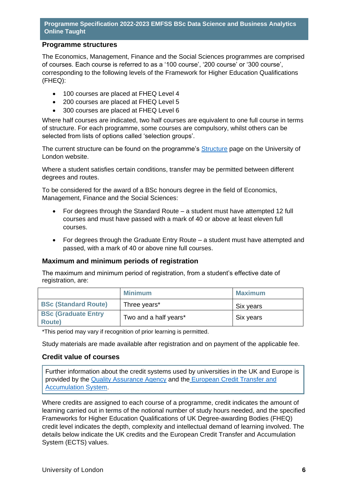## **Programme structures**

The Economics, Management, Finance and the Social Sciences programmes are comprised of courses. Each course is referred to as a '100 course', '200 course' or '300 course', corresponding to the following levels of the Framework for Higher Education Qualifications (FHEQ):

- 100 courses are placed at FHEQ Level 4
- 200 courses are placed at FHEQ Level 5
- 300 courses are placed at FHEQ Level 6

Where half courses are indicated, two half courses are equivalent to one full course in terms of structure. For each programme, some courses are compulsory, whilst others can be selected from lists of options called 'selection groups'.

The current structure can be found on the programme's **Structure page on the University of** London website.

Where a student satisfies certain conditions, transfer may be permitted between different degrees and routes.

To be considered for the award of a BSc honours degree in the field of Economics, Management, Finance and the Social Sciences:

- For degrees through the Standard Route a student must have attempted 12 full courses and must have passed with a mark of 40 or above at least eleven full courses.
- For degrees through the Graduate Entry Route a student must have attempted and passed, with a mark of 40 or above nine full courses.

## **Maximum and minimum periods of registration**

The maximum and minimum period of registration, from a student's effective date of registration, are:

|                                             | <b>Minimum</b>        | <b>Maximum</b> |
|---------------------------------------------|-----------------------|----------------|
| <b>BSc (Standard Route)</b>                 | Three years*          | Six years      |
| <b>BSc (Graduate Entry</b><br><b>Route)</b> | Two and a half years* | Six years      |

\*This period may vary if recognition of prior learning is permitted.

Study materials are made available after registration and on payment of the applicable fee.

#### **Credit value of courses**

Further information about the credit systems used by universities in the UK and Europe is provided by the [Quality Assurance Agency](http://www.qaa.ac.uk/en) and the [European Credit Transfer and](http://ec.europa.eu/education/resources/european-credit-transfer-accumulation-system_en.htm)  [Accumulation System.](http://ec.europa.eu/education/resources/european-credit-transfer-accumulation-system_en.htm)

Where credits are assigned to each course of a programme, credit indicates the amount of learning carried out in terms of the notional number of study hours needed, and the specified Frameworks for Higher Education Qualifications of UK Degree-awarding Bodies (FHEQ) credit level indicates the depth, complexity and intellectual demand of learning involved. The details below indicate the UK credits and the European Credit Transfer and Accumulation System (ECTS) values.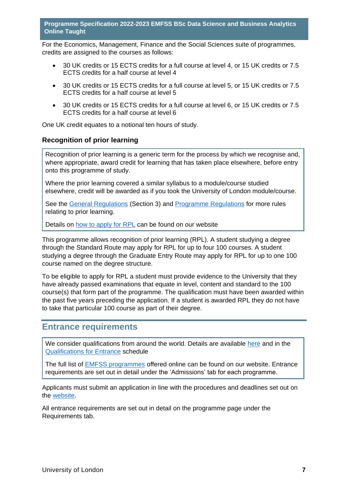For the Economics, Management, Finance and the Social Sciences suite of programmes, credits are assigned to the courses as follows:

- 30 UK credits or 15 ECTS credits for a full course at level 4, or 15 UK credits or 7.5 ECTS credits for a half course at level 4
- 30 UK credits or 15 ECTS credits for a full course at level 5, or 15 UK credits or 7.5 ECTS credits for a half course at level 5
- 30 UK credits or 15 ECTS credits for a full course at level 6, or 15 UK credits or 7.5 ECTS credits for a half course at level 6

One UK credit equates to a notional ten hours of study.

#### **Recognition of prior learning**

Recognition of prior learning is a generic term for the process by which we recognise and, where appropriate, award credit for learning that has taken place elsewhere, before entry onto this programme of study.

Where the prior learning covered a similar syllabus to a module/course studied elsewhere, credit will be awarded as if you took the University of London module/course.

See the [General Regulations](https://london.ac.uk/current-students/programme-documents/regulations) (Section 3) and [Programme Regulations](https://london.ac.uk/current-studentsprogramme-documents/regulations) for more rules relating to prior learning.

Details on [how to apply for RPL](https://london.ac.uk/applications/how-apply/recognition-prior-learning/recognition-and-accreditation-prior-learning-0) can be found on our website

This programme allows recognition of prior learning (RPL). A student studying a degree through the Standard Route may apply for RPL for up to four 100 courses. A student studying a degree through the Graduate Entry Route may apply for RPL for up to one 100 course named on the degree structure.

To be eligible to apply for RPL a student must provide evidence to the University that they have already passed examinations that equate in level, content and standard to the 100 course(s) that form part of the programme. The qualification must have been awarded within the past five years preceding the application. If a student is awarded RPL they do not have to take that particular 100 course as part of their degree.

## <span id="page-7-0"></span>**Entrance requirements**

We consider qualifications from around the world. Details are available [here](https://london.ac.uk/applications/how-apply/am-i-qualified) and in the [Qualifications for Entrance](https://london.ac.uk/entrance-qualifications) schedule

The full list of [EMFSS programmes](https://onlinecourses.london.ac.uk/) offered online can be found on our website. Entrance requirements are set out in detail under the 'Admissions' tab for each programme.

Applicants must submit an application in line with the procedures and deadlines set out on the [website.](https://onlinecourses.london.ac.uk/admissions/)

All entrance requirements are set out in detail on the programme page under the Requirements tab.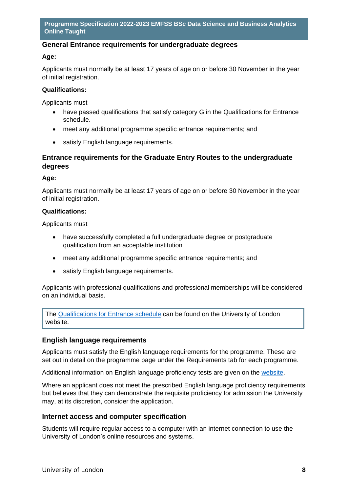## **General Entrance requirements for undergraduate degrees**

#### **Age:**

Applicants must normally be at least 17 years of age on or before 30 November in the year of initial registration.

#### **Qualifications:**

Applicants must

- have passed qualifications that satisfy category G in the Qualifications for Entrance schedule.
- meet any additional programme specific entrance requirements; and
- satisfy English language requirements.

## **Entrance requirements for the Graduate Entry Routes to the undergraduate degrees**

#### **Age:**

Applicants must normally be at least 17 years of age on or before 30 November in the year of initial registration.

#### **Qualifications:**

Applicants must

- have successfully completed a full undergraduate degree or postgraduate qualification from an acceptable institution
- meet any additional programme specific entrance requirements; and
- satisfy English language requirements.

Applicants with professional qualifications and professional memberships will be considered on an individual basis.

The [Qualifications for Entrance schedule](https://london.ac.uk/entrance-qualifications) can be found on the University of London website.

## **English language requirements**

Applicants must satisfy the English language requirements for the programme. These are set out in detail on the programme page under the Requirements tab for each programme.

Additional information on English language proficiency tests are given on the [website.](https://london.ac.uk/applications/how-apply/english-requirements)

Where an applicant does not meet the prescribed English language proficiency requirements but believes that they can demonstrate the requisite proficiency for admission the University may, at its discretion, consider the application.

#### **Internet access and computer specification**

Students will require regular access to a computer with an internet connection to use the University of London's online resources and systems.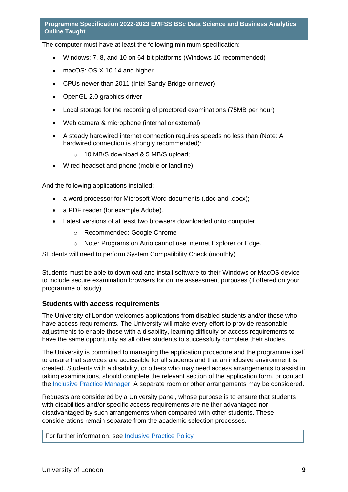The computer must have at least the following minimum specification:

- Windows: 7, 8, and 10 on 64-bit platforms (Windows 10 recommended)
- macOS: OS X 10.14 and higher
- CPUs newer than 2011 (Intel Sandy Bridge or newer)
- OpenGL 2.0 graphics driver
- Local storage for the recording of proctored examinations (75MB per hour)
- Web camera & microphone (internal or external)
- A steady hardwired internet connection requires speeds no less than (Note: A hardwired connection is strongly recommended):
	- o 10 MB/S download & 5 MB/S upload;
- Wired headset and phone (mobile or landline);

And the following applications installed:

- a word processor for Microsoft Word documents (.doc and .docx);
- a PDF reader (for example Adobe).
- Latest versions of at least two browsers downloaded onto computer
	- o Recommended: Google Chrome
	- o Note: Programs on Atrio cannot use Internet Explorer or Edge.

Students will need to perform System Compatibility Check (monthly)

Students must be able to download and install software to their Windows or MacOS device to include secure examination browsers for online assessment purposes (if offered on your programme of study)

#### **Students with access requirements**

The University of London welcomes applications from disabled students and/or those who have access requirements. The University will make every effort to provide reasonable adjustments to enable those with a disability, learning difficulty or access requirements to have the same opportunity as all other students to successfully complete their studies.

The University is committed to managing the application procedure and the programme itself to ensure that services are accessible for all students and that an inclusive environment is created. Students with a disability, or others who may need access arrangements to assist in taking examinations, should complete the relevant section of the application form, or contact the [Inclusive Practice Manager.](mailto:special.arrangements@london.ac.uk) A separate room or other arrangements may be considered.

Requests are considered by a University panel, whose purpose is to ensure that students with disabilities and/or specific access requirements are neither advantaged nor disadvantaged by such arrangements when compared with other students. These considerations remain separate from the academic selection processes.

For further information, see [Inclusive Practice Policy](https://london.ac.uk/applications/how-it-works/inclusive-practice-special-arrangements)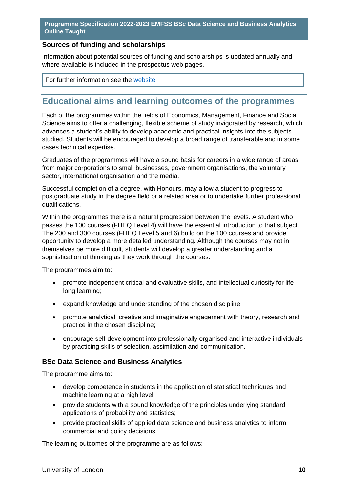## **Sources of funding and scholarships**

Information about potential sources of funding and scholarships is updated annually and where available is included in the prospectus web pages.

For further information see the [website](https://london.ac.uk/applications/funding-your-study)

# <span id="page-10-0"></span>**Educational aims and learning outcomes of the programmes**

Each of the programmes within the fields of Economics, Management, Finance and Social Science aims to offer a challenging, flexible scheme of study invigorated by research, which advances a student's ability to develop academic and practical insights into the subjects studied. Students will be encouraged to develop a broad range of transferable and in some cases technical expertise.

Graduates of the programmes will have a sound basis for careers in a wide range of areas from major corporations to small businesses, government organisations, the voluntary sector, international organisation and the media.

Successful completion of a degree, with Honours, may allow a student to progress to postgraduate study in the degree field or a related area or to undertake further professional qualifications.

Within the programmes there is a natural progression between the levels. A student who passes the 100 courses (FHEQ Level 4) will have the essential introduction to that subject. The 200 and 300 courses (FHEQ Level 5 and 6) build on the 100 courses and provide opportunity to develop a more detailed understanding. Although the courses may not in themselves be more difficult, students will develop a greater understanding and a sophistication of thinking as they work through the courses.

The programmes aim to:

- promote independent critical and evaluative skills, and intellectual curiosity for lifelong learning;
- expand knowledge and understanding of the chosen discipline;
- promote analytical, creative and imaginative engagement with theory, research and practice in the chosen discipline;
- encourage self-development into professionally organised and interactive individuals by practicing skills of selection, assimilation and communication.

## **BSc Data Science and Business Analytics**

The programme aims to:

- develop competence in students in the application of statistical techniques and machine learning at a high level
- provide students with a sound knowledge of the principles underlying standard applications of probability and statistics;
- provide practical skills of applied data science and business analytics to inform commercial and policy decisions.

The learning outcomes of the programme are as follows: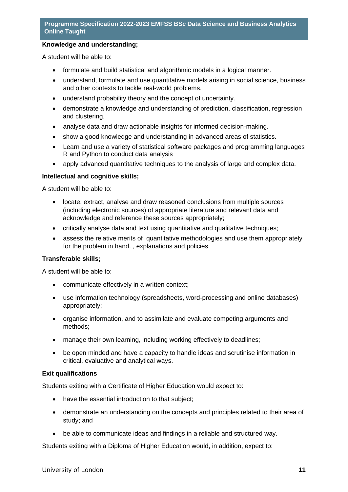#### **Knowledge and understanding;**

A student will be able to:

- formulate and build statistical and algorithmic models in a logical manner.
- understand, formulate and use quantitative models arising in social science, business and other contexts to tackle real-world problems.
- understand probability theory and the concept of uncertainty.
- demonstrate a knowledge and understanding of prediction, classification, regression and clustering.
- analyse data and draw actionable insights for informed decision-making.
- show a good knowledge and understanding in advanced areas of statistics.
- Learn and use a variety of statistical software packages and programming languages R and Python to conduct data analysis
- apply advanced quantitative techniques to the analysis of large and complex data.

#### **Intellectual and cognitive skills;**

A student will be able to:

- locate, extract, analyse and draw reasoned conclusions from multiple sources (including electronic sources) of appropriate literature and relevant data and acknowledge and reference these sources appropriately;
- critically analyse data and text using quantitative and qualitative techniques;
- assess the relative merits of quantitative methodologies and use them appropriately for the problem in hand. , explanations and policies.

#### **Transferable skills;**

A student will be able to:

- communicate effectively in a written context;
- use information technology (spreadsheets, word-processing and online databases) appropriately;
- organise information, and to assimilate and evaluate competing arguments and methods;
- manage their own learning, including working effectively to deadlines;
- be open minded and have a capacity to handle ideas and scrutinise information in critical, evaluative and analytical ways.

#### **Exit qualifications**

Students exiting with a Certificate of Higher Education would expect to:

- have the essential introduction to that subject;
- demonstrate an understanding on the concepts and principles related to their area of study; and
- be able to communicate ideas and findings in a reliable and structured way.

Students exiting with a Diploma of Higher Education would, in addition, expect to: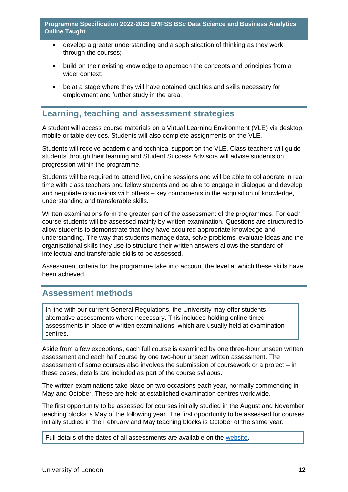- develop a greater understanding and a sophistication of thinking as they work through the courses;
- build on their existing knowledge to approach the concepts and principles from a wider context;
- be at a stage where they will have obtained qualities and skills necessary for employment and further study in the area.

# <span id="page-12-0"></span>**Learning, teaching and assessment strategies**

A student will access course materials on a Virtual Learning Environment (VLE) via desktop, mobile or table devices. Students will also complete assignments on the VLE.

Students will receive academic and technical support on the VLE. Class teachers will guide students through their learning and Student Success Advisors will advise students on progression within the programme.

Students will be required to attend live, online sessions and will be able to collaborate in real time with class teachers and fellow students and be able to engage in dialogue and develop and negotiate conclusions with others – key components in the acquisition of knowledge, understanding and transferable skills.

Written examinations form the greater part of the assessment of the programmes. For each course students will be assessed mainly by written examination. Questions are structured to allow students to demonstrate that they have acquired appropriate knowledge and understanding. The way that students manage data, solve problems, evaluate ideas and the organisational skills they use to structure their written answers allows the standard of intellectual and transferable skills to be assessed.

Assessment criteria for the programme take into account the level at which these skills have been achieved.

## <span id="page-12-1"></span>**Assessment methods**

In line with our current General Regulations, the University may offer students alternative assessments where necessary. This includes holding online timed assessments in place of written examinations, which are usually held at examination centres.

Aside from a few exceptions, each full course is examined by one three-hour unseen written assessment and each half course by one two-hour unseen written assessment. The assessment of some courses also involves the submission of coursework or a project – in these cases, details are included as part of the course syllabus.

The written examinations take place on two occasions each year, normally commencing in May and October. These are held at established examination centres worldwide.

The first opportunity to be assessed for courses initially studied in the August and November teaching blocks is May of the following year. The first opportunity to be assessed for courses initially studied in the February and May teaching blocks is October of the same year.

Full details of the dates of all assessments are available on the [website.](https://london.ac.uk/current-students/examinations/exam-timetables)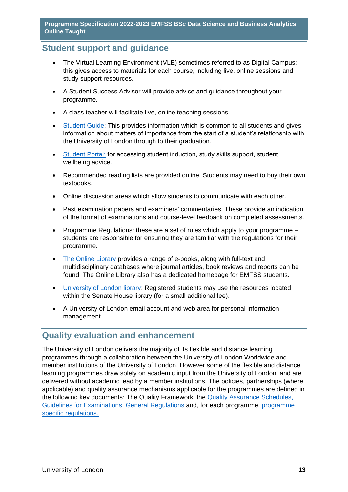## <span id="page-13-0"></span>**Student support and guidance**

- The Virtual Learning Environment (VLE) sometimes referred to as Digital Campus: this gives access to materials for each course, including live, online sessions and study support resources.
- A Student Success Advisor will provide advice and guidance throughout your programme.
- A class teacher will facilitate live, online teaching sessions.
- Student Guide: This provides information which is common to all students and gives information about matters of importance from the start of a student's relationship with the University of London through to their graduation.
- Student Portal: for accessing student induction, study skills support, student wellbeing advice.
- Recommended reading lists are provided online. Students may need to buy their own textbooks.
- Online discussion areas which allow students to communicate with each other.
- Past examination papers and examiners' commentaries. These provide an indication of the format of examinations and course-level feedback on completed assessments.
- Programme Regulations: these are a set of rules which apply to your programme students are responsible for ensuring they are familiar with the regulations for their programme.
- The Online Library provides a range of e-books, along with full-text and multidisciplinary databases where journal articles, book reviews and reports can be found. The Online Library also has a dedicated homepage for EMFSS students.
- University of London library: Registered students may use the resources located within the Senate House library (for a small additional fee).
- A University of London email account and web area for personal information management.

# <span id="page-13-1"></span>**Quality evaluation and enhancement**

The University of London delivers the majority of its flexible and distance learning programmes through a collaboration between the University of London Worldwide and member institutions of the University of London. However some of the flexible and distance learning programmes draw solely on academic input from the University of London, and are delivered without academic lead by a member institutions. The policies, partnerships (where applicable) and quality assurance mechanisms applicable for the programmes are defined in the following key documents: The Quality Framework, the Quality Assurance Schedules, Guidelines for Examinations, General Regulations and, for each programme, programme specific regulations.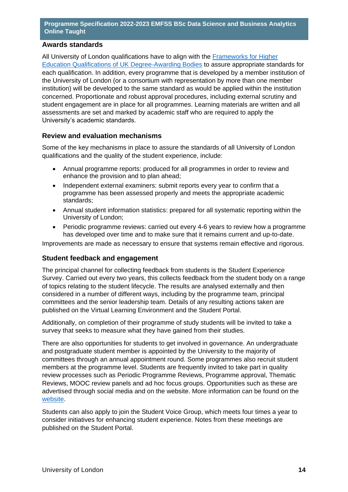## **Awards standards**

All University of London qualifications have to align with the Frameworks for Higher Education Qualifications of UK Degree-Awarding Bodies to assure appropriate standards for each qualification. In addition, every programme that is developed by a member institution of the University of London (or a consortium with representation by more than one member institution) will be developed to the same standard as would be applied within the institution concerned. Proportionate and robust approval procedures, including external scrutiny and student engagement are in place for all programmes. Learning materials are written and all assessments are set and marked by academic staff who are required to apply the University's academic standards.

#### **Review and evaluation mechanisms**

Some of the key mechanisms in place to assure the standards of all University of London qualifications and the quality of the student experience, include:

- Annual programme reports: produced for all programmes in order to review and enhance the provision and to plan ahead;
- Independent external examiners: submit reports every year to confirm that a programme has been assessed properly and meets the appropriate academic standards;
- Annual student information statistics: prepared for all systematic reporting within the University of London;
- Periodic programme reviews: carried out every 4-6 years to review how a programme has developed over time and to make sure that it remains current and up-to-date.

Improvements are made as necessary to ensure that systems remain effective and rigorous.

#### **Student feedback and engagement**

The principal channel for collecting feedback from students is the Student Experience Survey. Carried out every two years, this collects feedback from the student body on a range of topics relating to the student lifecycle. The results are analysed externally and then considered in a number of different ways, including by the programme team, principal committees and the senior leadership team. Details of any resulting actions taken are published on the Virtual Learning Environment and the Student Portal.

Additionally, on completion of their programme of study students will be invited to take a survey that seeks to measure what they have gained from their studies.

There are also opportunities for students to get involved in governance. An undergraduate and postgraduate student member is appointed by the University to the majority of committees through an annual appointment round. Some programmes also recruit student members at the programme level. Students are frequently invited to take part in quality review processes such as Periodic Programme Reviews, Programme approval, Thematic Reviews, MOOC review panels and ad hoc focus groups. Opportunities such as these are advertised through social media and on the website. More information can be found on the website.

Students can also apply to join the Student Voice Group, which meets four times a year to consider initiatives for enhancing student experience. Notes from these meetings are published on the Student Portal.